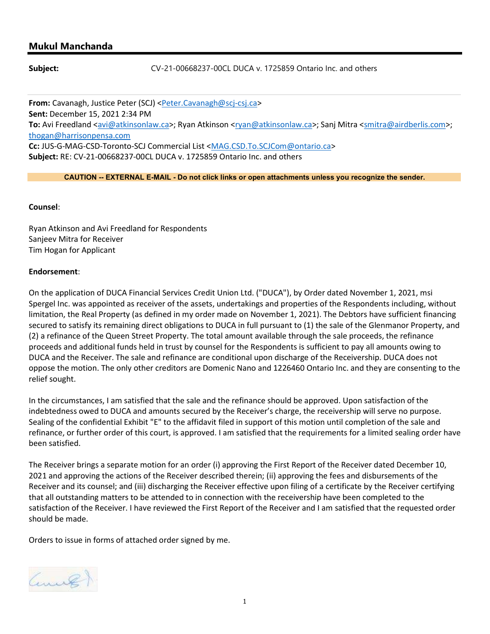## Mukul Manchanda

Subject: CV-21-00668237-00CL DUCA v. 1725859 Ontario Inc. and others

From: Cavanagh, Justice Peter (SCJ) <Peter.Cavanagh@scj-csj.ca> Sent: December 15, 2021 2:34 PM To: Avi Freedland <avi@atkinsonlaw.ca>; Ryan Atkinson <rvan@atkinsonlaw.ca>; Sanj Mitra <smitra@airdberlis.com>; thogan@harrisonpensa.com Cc: JUS-G-MAG-CSD-Toronto-SCJ Commercial List <MAG.CSD.To.SCJCom@ontario.ca> Subject: RE: CV-21-00668237-00CL DUCA v. 1725859 Ontario Inc. and others

CAUTION -- EXTERNAL E-MAIL - Do not click links or open attachments unless you recognize the sender.

## Counsel:

Ryan Atkinson and Avi Freedland for Respondents Sanjeev Mitra for Receiver Tim Hogan for Applicant

## Endorsement:

On the application of DUCA Financial Services Credit Union Ltd. ("DUCA"), by Order dated November 1, 2021, msi Spergel Inc. was appointed as receiver of the assets, undertakings and properties of the Respondents including, without limitation, the Real Property (as defined in my order made on November 1, 2021). The Debtors have sufficient financing secured to satisfy its remaining direct obligations to DUCA in full pursuant to (1) the sale of the Glenmanor Property, and (2) a refinance of the Queen Street Property. The total amount available through the sale proceeds, the refinance proceeds and additional funds held in trust by counsel for the Respondents is sufficient to pay all amounts owing to DUCA and the Receiver. The sale and refinance are conditional upon discharge of the Receivership. DUCA does not oppose the motion. The only other creditors are Domenic Nano and 1226460 Ontario Inc. and they are consenting to the relief sought.

In the circumstances, I am satisfied that the sale and the refinance should be approved. Upon satisfaction of the indebtedness owed to DUCA and amounts secured by the Receiver's charge, the receivership will serve no purpose. Sealing of the confidential Exhibit "E" to the affidavit filed in support of this motion until completion of the sale and refinance, or further order of this court, is approved. I am satisfied that the requirements for a limited sealing order have been satisfied.

The Receiver brings a separate motion for an order (i) approving the First Report of the Receiver dated December 10, 2021 and approving the actions of the Receiver described therein; (ii) approving the fees and disbursements of the Receiver and its counsel; and (iii) discharging the Receiver effective upon filing of a certificate by the Receiver certifying that all outstanding matters to be attended to in connection with the receivership have been completed to the satisfaction of the Receiver. I have reviewed the First Report of the Receiver and I am satisfied that the requested order should be made.

Orders to issue in forms of attached order signed by me.